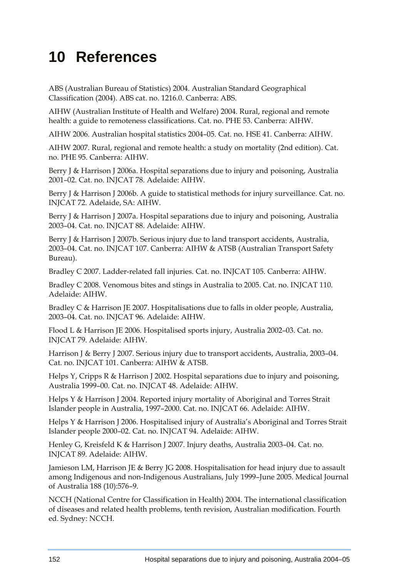## **10 References**

ABS (Australian Bureau of Statistics) 2004. Australian Standard Geographical Classification (2004). ABS cat. no. 1216.0. Canberra: ABS.

AIHW (Australian Institute of Health and Welfare) 2004. Rural, regional and remote health: a guide to remoteness classifications. Cat. no. PHE 53. Canberra: AIHW.

AIHW 2006. Australian hospital statistics 2004–05. Cat. no. HSE 41. Canberra: AIHW.

AIHW 2007. Rural, regional and remote health: a study on mortality (2nd edition). Cat. no. PHE 95. Canberra: AIHW.

Berry J & Harrison J 2006a. Hospital separations due to injury and poisoning, Australia 2001–02. Cat. no. INJCAT 78. Adelaide: AIHW.

Berry J & Harrison J 2006b. A guide to statistical methods for injury surveillance. Cat. no. INJCAT 72. Adelaide, SA: AIHW.

Berry J & Harrison J 2007a. Hospital separations due to injury and poisoning, Australia 2003–04. Cat. no. INJCAT 88. Adelaide: AIHW.

Berry J & Harrison J 2007b. Serious injury due to land transport accidents, Australia, 2003–04. Cat. no. INJCAT 107. Canberra: AIHW & ATSB (Australian Transport Safety Bureau).

Bradley C 2007. Ladder-related fall injuries. Cat. no. INJCAT 105. Canberra: AIHW.

Bradley C 2008. Venomous bites and stings in Australia to 2005. Cat. no. INJCAT 110. Adelaide: AIHW.

Bradley C & Harrison JE 2007. Hospitalisations due to falls in older people, Australia, 2003–04. Cat. no. INJCAT 96. Adelaide: AIHW.

Flood L & Harrison JE 2006. Hospitalised sports injury, Australia 2002–03. Cat. no. INJCAT 79. Adelaide: AIHW.

Harrison J & Berry J 2007. Serious injury due to transport accidents, Australia, 2003–04. Cat. no. INJCAT 101. Canberra: AIHW & ATSB.

Helps Y, Cripps R & Harrison J 2002. Hospital separations due to injury and poisoning, Australia 1999–00. Cat. no. INJCAT 48. Adelaide: AIHW.

Helps Y & Harrison J 2004. Reported injury mortality of Aboriginal and Torres Strait Islander people in Australia, 1997–2000. Cat. no. INJCAT 66. Adelaide: AIHW.

Helps Y & Harrison J 2006. Hospitalised injury of Australia's Aboriginal and Torres Strait Islander people 2000–02. Cat. no. INJCAT 94. Adelaide: AIHW.

Henley G, Kreisfeld K & Harrison J 2007. Injury deaths, Australia 2003–04. Cat. no. INJCAT 89. Adelaide: AIHW.

Jamieson LM, Harrison JE & Berry JG 2008. Hospitalisation for head injury due to assault among Indigenous and non-Indigenous Australians, July 1999–June 2005. Medical Journal of Australia 188 (10):576–9.

NCCH (National Centre for Classification in Health) 2004. The international classification of diseases and related health problems, tenth revision, Australian modification. Fourth ed. Sydney: NCCH.